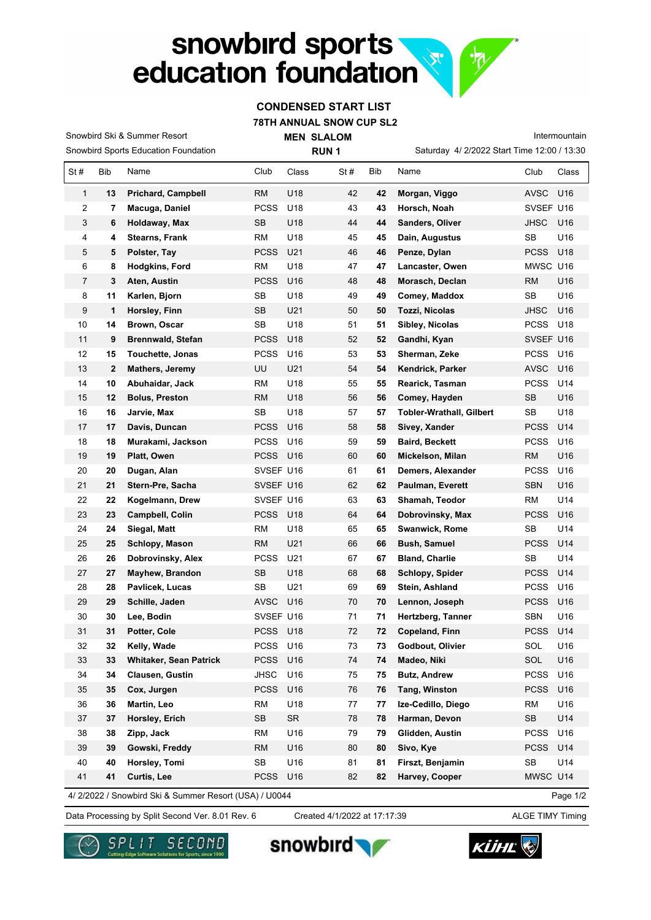## snowbird sports **RECORDS** education foundation

## **CONDENSED START LIST**

 $\sqrt{\psi}$ 

**78TH ANNUAL SNOW CUP SL2**

**MEN SLALOM**  Saturday 4/ 2/2022 Start Time 12:00 / 13:30 Intermountain Snowbird Sports Education Foundation Snowbird Ski & Summer Resort **RUN 1** St # Bib Name Club Class St # Bib Name Club Class  **13 Prichard, Campbell** RM U18 42 **42 Morgan, Viggo** AVSC U16  **7 Macuga, Daniel** PCSS U18 43 **43 Horsch, Noah** SVSEF U16  **6 Holdaway, Max** SB U18 44 **44 Sanders, Oliver** JHSC U16  **4 Stearns, Frank** RM U18 45 **45 Dain, Augustus** SB U16  **5 Polster, Tay** PCSS U21 46 **46 Penze, Dylan** PCSS U18  **8 Hodgkins, Ford** RM U18 47 **47 Lancaster, Owen** MWSC U16  **3 Aten, Austin** PCSS U16 48 **48 Morasch, Declan** RM U16  **11 Karlen, Bjorn** SB U18 49 **49 Comey, Maddox** SB U16  **1 Horsley, Finn** SB U21 50 **50 Tozzi, Nicolas** JHSC U16  **14 Brown, Oscar** SB U18 51 **51 Sibley, Nicolas** PCSS U18  **9 Brennwald, Stefan** PCSS U18 52 **52 Gandhi, Kyan** SVSEF U16  **15 Touchette, Jonas** PCSS U16 53 **53 Sherman, Zeke** PCSS U16  **2 Mathers, Jeremy** UU U21 54 **54 Kendrick, Parker** AVSC U16  **10 Abuhaidar, Jack** RM U18 55 **55 Rearick, Tasman** PCSS U14  **12 Bolus, Preston** RM U18 56 **56 Comey, Hayden** SB U16  **16 Jarvie, Max** SB U18 57 **57 Tobler-Wrathall, Gilbert** SB U18  **17 Davis, Duncan** PCSS U16 58 **58 Sivey, Xander** PCSS U14  **18 Murakami, Jackson** PCSS U16 59 **59 Baird, Beckett** PCSS U16  **19 Platt, Owen** PCSS U16 60 **60 Mickelson, Milan** RM U16  **20 Dugan, Alan** SVSEF U16 61 **61 Demers, Alexander** PCSS U16  **21 Stern-Pre, Sacha** SVSEF U16 62 **62 Paulman, Everett** SBN U16  **22 Kogelmann, Drew** SVSEF U16 63 **63 Shamah, Teodor** RM U14  **23 Campbell, Colin** PCSS U18 64 **64 Dobrovinsky, Max** PCSS U16  **24 Siegal, Matt** RM U18 65 **65 Swanwick, Rome** SB U14  **25 Schlopy, Mason** RM U21 66 **66 Bush, Samuel** PCSS U14  **26 Dobrovinsky, Alex** PCSS U21 67 **67 Bland, Charlie** SB U14  **27 Mayhew, Brandon** SB U18 68 **68 Schlopy, Spider** PCSS U14  **28 Pavlicek, Lucas** SB U21 69 **69 Stein, Ashland** PCSS U16  **29 Schille, Jaden** AVSC U16 70 **70 Lennon, Joseph** PCSS U16  **30 Lee, Bodin** SVSEF U16 71 **71 Hertzberg, Tanner** SBN U16  **31 Potter, Cole** PCSS U18 72 **72 Copeland, Finn** PCSS U14  **32 Kelly, Wade** PCSS U16 73 **73 Godbout, Olivier** SOL U16  **33 Whitaker, Sean Patrick** PCSS U16 74 **74 Madeo, Niki** SOL U16  **34 Clausen, Gustin** JHSC U16 75 **75 Butz, Andrew** PCSS U16  **35 Cox, Jurgen** PCSS U16 76 **76 Tang, Winston** PCSS U16  **36 Martin, Leo** RM U18 77 **77 Ize-Cedillo, Diego** RM U16  **37 Horsley, Erich** SB SR 78 **78 Harman, Devon** SB U14  **38 Zipp, Jack** RM U16 79 **79 Glidden, Austin** PCSS U16  **39 Gowski, Freddy** RM U16 80 **80 Sivo, Kye** PCSS U14  **40 Horsley, Tomi** SB U16 81 **81 Firszt, Benjamin** SB U14  **41 Curtis, Lee** PCSS U16 82 **82 Harvey, Cooper** MWSC U14

4/ 2/2022 / Snowbird Ski & Summer Resort (USA) / U0044

Page 1/2

Data Processing by Split Second Ver. 8.01 Rev. 6 Created 4/1/2022 at 17:17:39 ALGE TIMY Timing

Created 4/1/2022 at 17:17:39